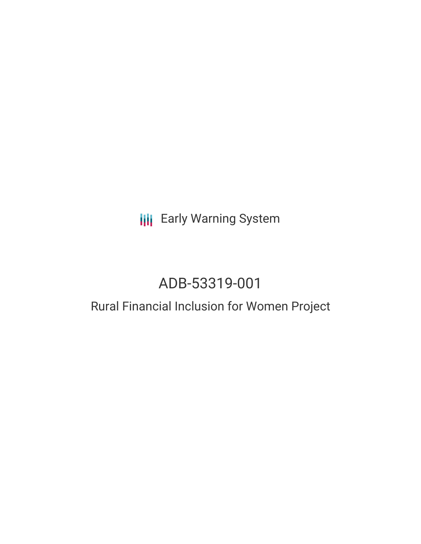## **III** Early Warning System

# ADB-53319-001

### Rural Financial Inclusion for Women Project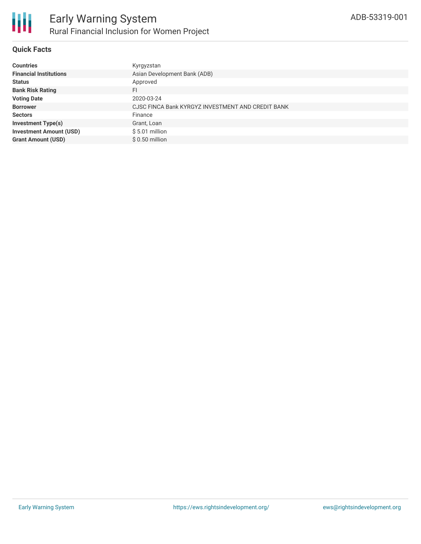

#### **Quick Facts**

| <b>Countries</b>               | Kyrgyzstan                                        |
|--------------------------------|---------------------------------------------------|
| <b>Financial Institutions</b>  | Asian Development Bank (ADB)                      |
| <b>Status</b>                  | Approved                                          |
| <b>Bank Risk Rating</b>        | FI                                                |
| <b>Voting Date</b>             | 2020-03-24                                        |
| <b>Borrower</b>                | CJSC FINCA Bank KYRGYZ INVESTMENT AND CREDIT BANK |
| <b>Sectors</b>                 | Finance                                           |
| <b>Investment Type(s)</b>      | Grant, Loan                                       |
| <b>Investment Amount (USD)</b> | $$5.01$ million                                   |
| <b>Grant Amount (USD)</b>      | $$0.50$ million                                   |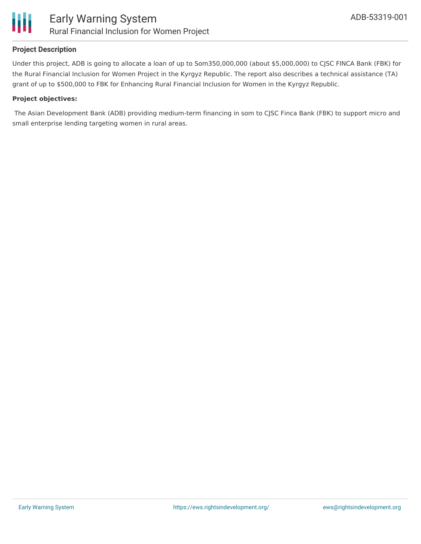

#### **Project Description**

Under this project, ADB is going to allocate a loan of up to Som350,000,000 (about \$5,000,000) to CJSC FINCA Bank (FBK) for the Rural Financial Inclusion for Women Project in the Kyrgyz Republic. The report also describes a technical assistance (TA) grant of up to \$500,000 to FBK for Enhancing Rural Financial Inclusion for Women in the Kyrgyz Republic.

#### **Project objectives:**

The Asian Development Bank (ADB) providing medium-term financing in som to CJSC Finca Bank (FBK) to support micro and small enterprise lending targeting women in rural areas.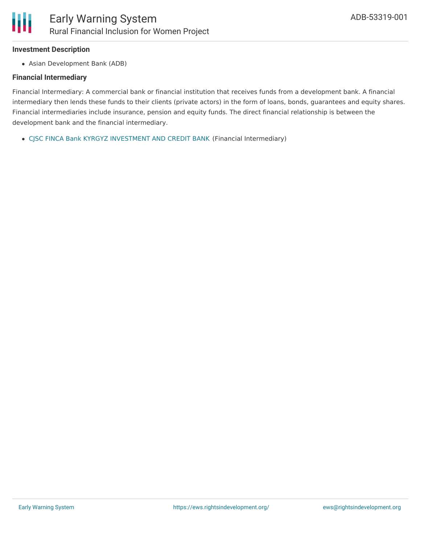#### **Investment Description**

Asian Development Bank (ADB)

#### **Financial Intermediary**

Financial Intermediary: A commercial bank or financial institution that receives funds from a development bank. A financial intermediary then lends these funds to their clients (private actors) in the form of loans, bonds, guarantees and equity shares. Financial intermediaries include insurance, pension and equity funds. The direct financial relationship is between the development bank and the financial intermediary.

CJSC FINCA Bank KYRGYZ [INVESTMENT](file:///actor/3135/) AND CREDIT BANK (Financial Intermediary)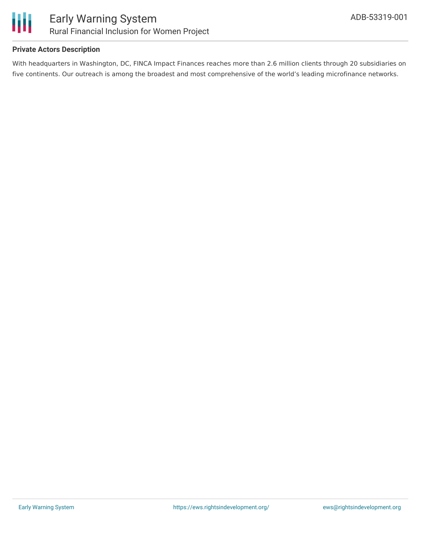

#### **Private Actors Description**

With headquarters in Washington, DC, FINCA Impact Finances reaches more than 2.6 million clients through 20 subsidiaries on five continents. Our outreach is among the broadest and most comprehensive of the world's leading microfinance networks.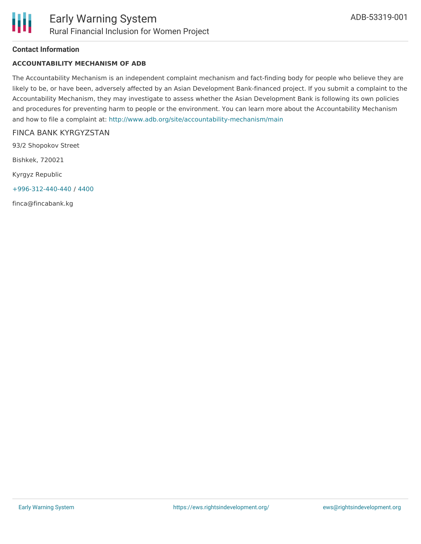#### **Contact Information**

#### **ACCOUNTABILITY MECHANISM OF ADB**

The Accountability Mechanism is an independent complaint mechanism and fact-finding body for people who believe they are likely to be, or have been, adversely affected by an Asian Development Bank-financed project. If you submit a complaint to the Accountability Mechanism, they may investigate to assess whether the Asian Development Bank is following its own policies and procedures for preventing harm to people or the environment. You can learn more about the Accountability Mechanism and how to file a complaint at: <http://www.adb.org/site/accountability-mechanism/main>

#### FINCA BANK KYRGYZSTAN

93/2 Shopokov Street

Bishkek, 720021

Kyrgyz Republic

[+996-312-440-440](tel:+996-312-440-440) / [4400](tel:4400)

finca@fincabank.kg